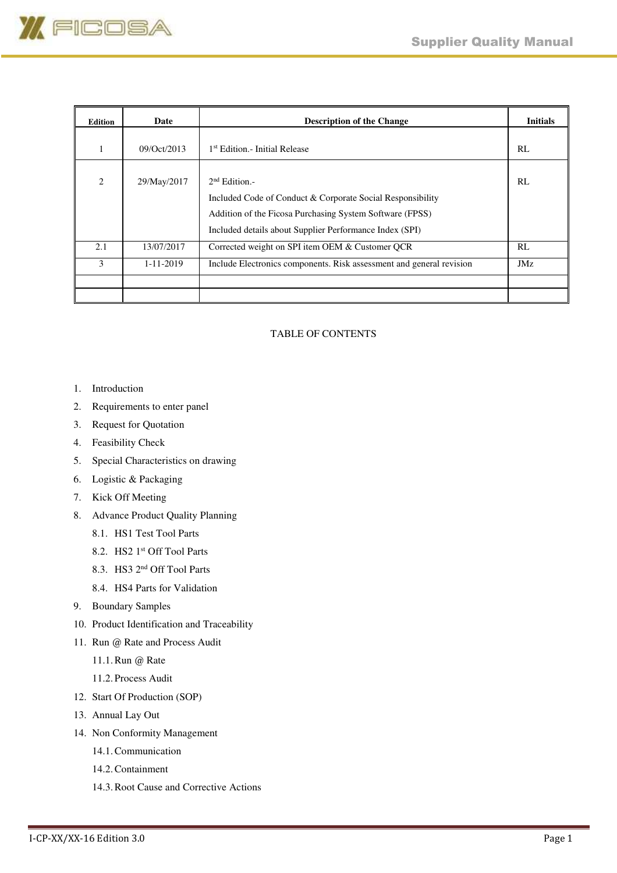

| Edition                     | Date            | <b>Description of the Change</b>                                                                                                                                                                      | <b>Initials</b> |
|-----------------------------|-----------------|-------------------------------------------------------------------------------------------------------------------------------------------------------------------------------------------------------|-----------------|
|                             | 09/Oct/2013     | <sup>1st</sup> Edition.- Initial Release                                                                                                                                                              | RL              |
| $\mathcal{D}_{\mathcal{L}}$ | 29/May/2017     | $2nd Edition. -$<br>Included Code of Conduct & Corporate Social Responsibility<br>Addition of the Ficosa Purchasing System Software (FPSS)<br>Included details about Supplier Performance Index (SPI) | RL              |
| 2.1                         | 13/07/2017      | Corrected weight on SPI item OEM & Customer OCR                                                                                                                                                       | RL              |
| 3                           | $1 - 11 - 2019$ | Include Electronics components. Risk assessment and general revision                                                                                                                                  | JMz             |
|                             |                 |                                                                                                                                                                                                       |                 |
|                             |                 |                                                                                                                                                                                                       |                 |

# TABLE OF CONTENTS

- 1. Introduction
- 2. Requirements to enter panel
- 3. Request for Quotation
- 4. Feasibility Check
- 5. Special Characteristics on drawing
- 6. Logistic & Packaging
- 7. Kick Off Meeting
- 8. Advance Product Quality Planning
	- 8.1. HS1 Test Tool Parts
	- 8.2. HS2 1<sup>st</sup> Off Tool Parts
	- 8.3. HS3 2nd Off Tool Parts
	- 8.4. HS4 Parts for Validation
- 9. Boundary Samples
- 10. Product Identification and Traceability
- 11. Run @ Rate and Process Audit
	- 11.1.Run @ Rate
	- 11.2. Process Audit
- 12. Start Of Production (SOP)
- 13. Annual Lay Out
- 14. Non Conformity Management
	- 14.1.Communication
	- 14.2.Containment
	- 14.3.Root Cause and Corrective Actions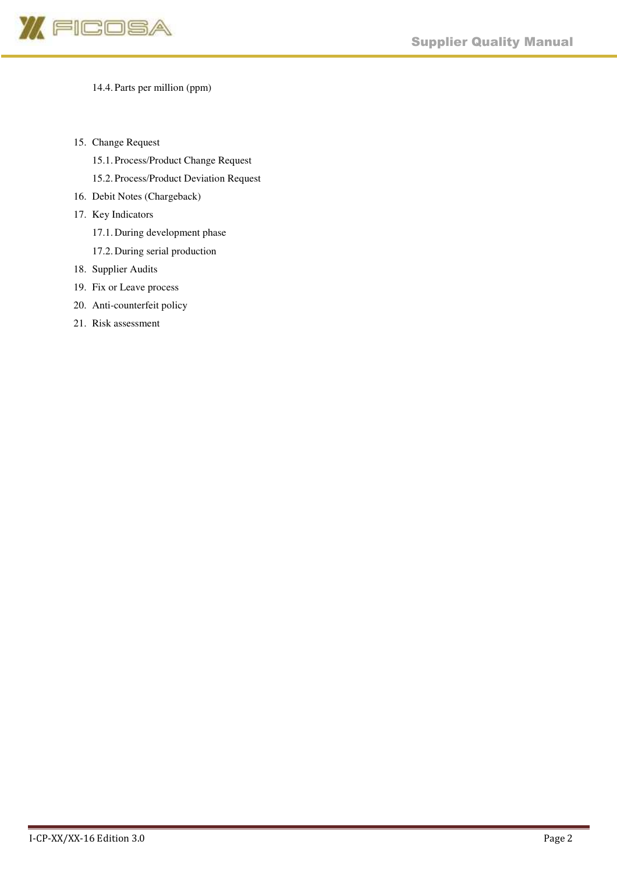

# 14.4. Parts per million (ppm)

- 15. Change Request
	- 15.1. Process/Product Change Request
	- 15.2. Process/Product Deviation Request
- 16. Debit Notes (Chargeback)
- 17. Key Indicators
	- 17.1. During development phase
	- 17.2. During serial production
- 18. Supplier Audits
- 19. Fix or Leave process
- 20. Anti-counterfeit policy
- 21. Risk assessment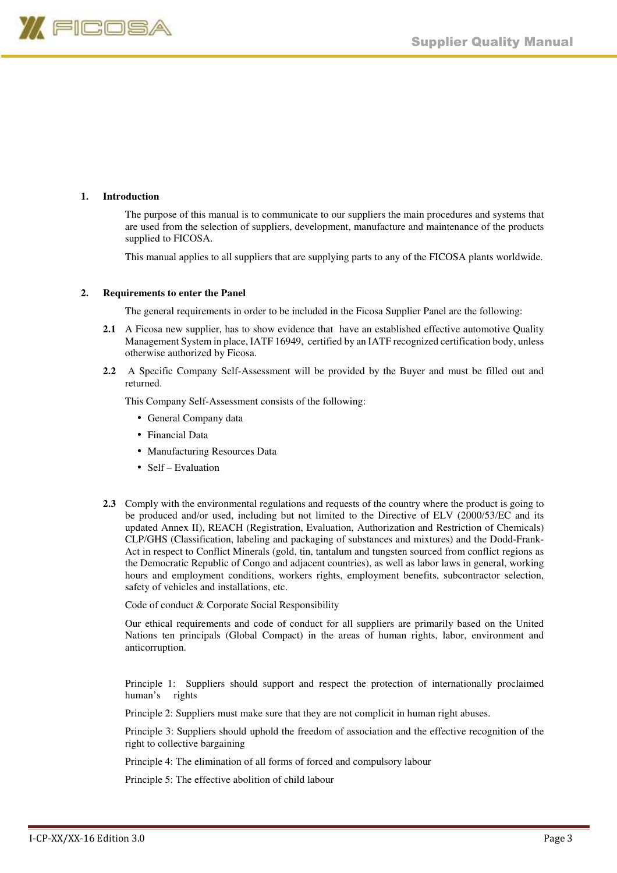

#### **1. Introduction**

The purpose of this manual is to communicate to our suppliers the main procedures and systems that are used from the selection of suppliers, development, manufacture and maintenance of the products supplied to FICOSA.

This manual applies to all suppliers that are supplying parts to any of the FICOSA plants worldwide.

#### **2. Requirements to enter the Panel**

The general requirements in order to be included in the Ficosa Supplier Panel are the following:

- **2.1** A Ficosa new supplier, has to show evidence that have an established effective automotive Quality Management System in place, IATF 16949, certified by an IATF recognized certification body, unless otherwise authorized by Ficosa.
- **2.2** A Specific Company Self-Assessment will be provided by the Buyer and must be filled out and returned.

This Company Self-Assessment consists of the following:

- General Company data
- Financial Data
- Manufacturing Resources Data
- Self Evaluation
- **2.3** Comply with the environmental regulations and requests of the country where the product is going to be produced and/or used, including but not limited to the Directive of ELV (2000/53/EC and its updated Annex II), REACH (Registration, Evaluation, Authorization and Restriction of Chemicals) CLP/GHS (Classification, labeling and packaging of substances and mixtures) and the Dodd-Frank-Act in respect to Conflict Minerals (gold, tin, tantalum and tungsten sourced from conflict regions as the Democratic Republic of Congo and adjacent countries), as well as labor laws in general, working hours and employment conditions, workers rights, employment benefits, subcontractor selection, safety of vehicles and installations, etc.

Code of conduct & Corporate Social Responsibility

 Our ethical requirements and code of conduct for all suppliers are primarily based on the United Nations ten principals (Global Compact) in the areas of human rights, labor, environment and anticorruption.

Principle 1: Suppliers should support and respect the protection of internationally proclaimed human's rights

Principle 2: Suppliers must make sure that they are not complicit in human right abuses.

Principle 3: Suppliers should uphold the freedom of association and the effective recognition of the right to collective bargaining

Principle 4: The elimination of all forms of forced and compulsory labour

Principle 5: The effective abolition of child labour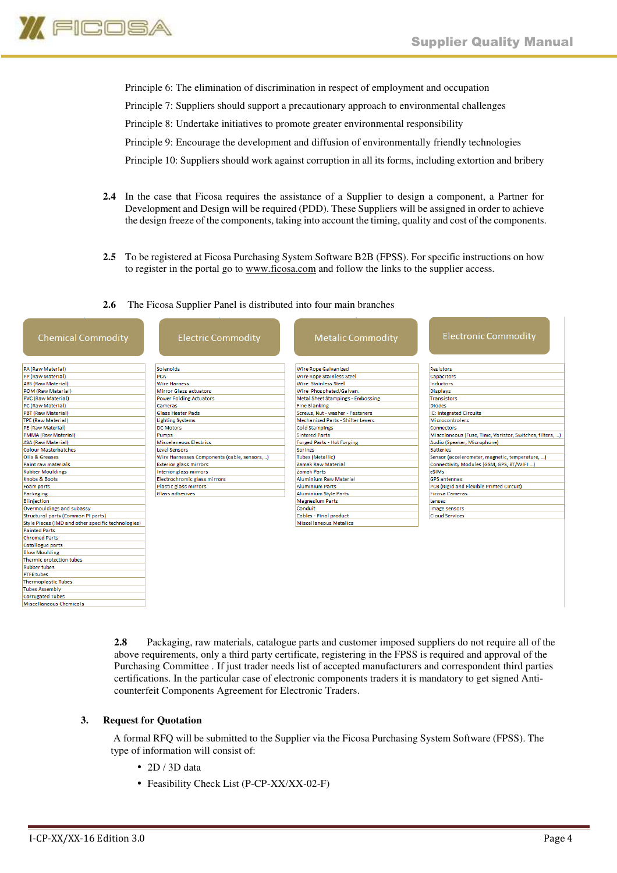

Principle 6: The elimination of discrimination in respect of employment and occupation Principle 7: Suppliers should support a precautionary approach to environmental challenges Principle 8: Undertake initiatives to promote greater environmental responsibility Principle 9: Encourage the development and diffusion of environmentally friendly technologies Principle 10: Suppliers should work against corruption in all its forms, including extortion and bribery

- **2.4** In the case that Ficosa requires the assistance of a Supplier to design a component, a Partner for Development and Design will be required (PDD). These Suppliers will be assigned in order to achieve the design freeze of the components, taking into account the timing, quality and cost of the components.
- **2.5** To be registered at Ficosa Purchasing System Software B2B (FPSS). For specific instructions on how to register in the portal go to www.ficosa.com and follow the links to the supplier access.

#### **2.6** The Ficosa Supplier Panel is distributed into four main branches

| <b>Chemical Commodity</b>                          | <b>Electric Commodity</b>                  | <b>Metalic Commodity</b>                 | <b>Electronic Commodity</b>                              |
|----------------------------------------------------|--------------------------------------------|------------------------------------------|----------------------------------------------------------|
| PA (Raw Material)                                  | Solenoids                                  | <b>Wire Rope Galvanized</b>              | <b>Resistors</b>                                         |
| PP (Raw Material)                                  | PCA                                        | Wire Rope Stainless Steel                | <b>Capacitors</b>                                        |
| <b>ABS (Raw Material)</b>                          | <b>Wire Harness</b>                        | <b>Wire Stainless Steel</b>              | Inductors                                                |
| POM (Raw Material)                                 | <b>Mirror Glass actuators</b>              | Wire Phosphated/Galvan.                  | <b>Displays</b>                                          |
| PVC (Raw Material)                                 | <b>Power Folding Actuators</b>             | <b>Metal Sheet Stampings - Embossing</b> | <b>Transistors</b>                                       |
| PC (Raw Material)                                  | Cameras                                    | <b>Fine Blanking</b>                     | <b>Diodes</b>                                            |
| PBT (Raw Material)                                 | <b>Glass Heater Pads</b>                   | Screws, Nut - washer - Fasteners         | IC: Integrated Circuits                                  |
| <b>TPE (Raw Material)</b>                          | <b>Lighting Systems</b>                    | <b>Mechanized Parts - Shifter Levers</b> | <b>Microcontrolers</b>                                   |
| PE (Raw Material)                                  | <b>DC Motors</b>                           | <b>Cold Stampings</b>                    | <b>Connectors</b>                                        |
| <b>PMMA (Raw Material)</b>                         | Pumps                                      | <b>Sintered Parts</b>                    | Miscelaneous (Fuse, Time, Varistor, Switches, filters, ) |
| <b>ASA (Raw Material)</b>                          | <b>Miscelaneous Electrics</b>              | Forged Parts - Hot Forging               | Audio (Speaker, Microphone)                              |
| <b>Colour Masterbatches</b>                        | <b>Level Sensors</b>                       | <b>Springs</b>                           | <b>Batteries</b>                                         |
| <b>Oils &amp; Greases</b>                          | Wire Harnesses Components (cable, sensors) | <b>Tubes (Metallic)</b>                  | Sensor (accelerometer, magnetic, temperature, )          |
| Paint raw materials                                | <b>Exterior glass mirrors</b>              | Zamak Raw Material                       | Connectivity Modules (GSM, GPS, BT/WIFI )                |
| <b>Rubber Mouldings</b>                            | Interior glass mirrors                     | Zamak Parts                              | eSIMs                                                    |
| Knobs & Boots                                      | Electrochromic glass mirrors               | <b>Aluminium Raw Material</b>            | <b>GPS</b> antennas                                      |
| Foam parts                                         | Plastic glass mirrors                      | <b>Aluminium Parts</b>                   | PCB (Rigid and Flexible Printed Circuit)                 |
| Packaging                                          | <b>Glass adhesives</b>                     | <b>Aluminium Style Parts</b>             | <b>Ficosa Cameras</b>                                    |
| <b>Biinjection</b>                                 |                                            | <b>Magnesium Parts</b>                   | Lenses                                                   |
| Overmouldings and subassy                          |                                            | Conduit                                  | Image sensors                                            |
| Structural parts (Common PI parts)                 |                                            | Cables - Final product                   | <b>Cloud Services</b>                                    |
| Style Pieces (IMD and other specific technologies) |                                            | <b>Miscellaneous Metalics</b>            |                                                          |
| <b>Painted Parts</b>                               |                                            |                                          |                                                          |
| <b>Chromed Parts</b>                               |                                            |                                          |                                                          |
| <b>Catallogue parts</b>                            |                                            |                                          |                                                          |
| <b>Blow Moulding</b>                               |                                            |                                          |                                                          |
| Thermic protection tubes                           |                                            |                                          |                                                          |
| <b>Rubber tubes</b>                                |                                            |                                          |                                                          |
| <b>PTFE tubes</b>                                  |                                            |                                          |                                                          |
| <b>Thermoplastic Tubes</b>                         |                                            |                                          |                                                          |
| <b>Tubes Assembly</b>                              |                                            |                                          |                                                          |
| <b>Corrugated Tubes</b>                            |                                            |                                          |                                                          |
| Miscellaneous Chemicals                            |                                            |                                          |                                                          |

**2.8** Packaging, raw materials, catalogue parts and customer imposed suppliers do not require all of the above requirements, only a third party certificate, registering in the FPSS is required and approval of the Purchasing Committee . If just trader needs list of accepted manufacturers and correspondent third parties certifications. In the particular case of electronic components traders it is mandatory to get signed Anticounterfeit Components Agreement for Electronic Traders.

# **3. Request for Quotation**

 A formal RFQ will be submitted to the Supplier via the Ficosa Purchasing System Software (FPSS). The type of information will consist of:

- 2D / 3D data
- Feasibility Check List (P-CP-XX/XX-02-F)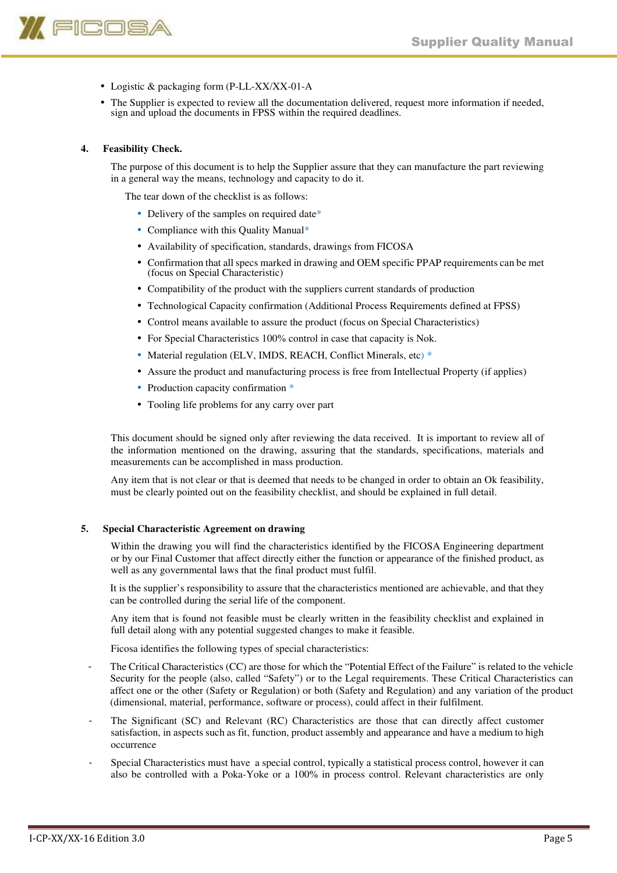

- Logistic & packaging form (P-LL-XX/XX-01-A
- The Supplier is expected to review all the documentation delivered, request more information if needed, sign and upload the documents in FPSS within the required deadlines.

# **4. Feasibility Check.**

The purpose of this document is to help the Supplier assure that they can manufacture the part reviewing in a general way the means, technology and capacity to do it.

The tear down of the checklist is as follows:

- Delivery of the samples on required date\*
- Compliance with this Quality Manual\*
- Availability of specification, standards, drawings from FICOSA
- Confirmation that all specs marked in drawing and OEM specific PPAP requirements can be met (focus on Special Characteristic)
- Compatibility of the product with the suppliers current standards of production
- Technological Capacity confirmation (Additional Process Requirements defined at FPSS)
- Control means available to assure the product (focus on Special Characteristics)
- For Special Characteristics 100% control in case that capacity is Nok.
- Material regulation (ELV, IMDS, REACH, Conflict Minerals, etc) \*
- Assure the product and manufacturing process is free from Intellectual Property (if applies)
- Production capacity confirmation  $*$
- Tooling life problems for any carry over part

This document should be signed only after reviewing the data received. It is important to review all of the information mentioned on the drawing, assuring that the standards, specifications, materials and measurements can be accomplished in mass production.

Any item that is not clear or that is deemed that needs to be changed in order to obtain an Ok feasibility, must be clearly pointed out on the feasibility checklist, and should be explained in full detail.

#### **5. Special Characteristic Agreement on drawing**

Within the drawing you will find the characteristics identified by the FICOSA Engineering department or by our Final Customer that affect directly either the function or appearance of the finished product, as well as any governmental laws that the final product must fulfil.

It is the supplier's responsibility to assure that the characteristics mentioned are achievable, and that they can be controlled during the serial life of the component.

Any item that is found not feasible must be clearly written in the feasibility checklist and explained in full detail along with any potential suggested changes to make it feasible.

Ficosa identifies the following types of special characteristics:

- The Critical Characteristics (CC) are those for which the "Potential Effect of the Failure" is related to the vehicle Security for the people (also, called "Safety") or to the Legal requirements. These Critical Characteristics can affect one or the other (Safety or Regulation) or both (Safety and Regulation) and any variation of the product (dimensional, material, performance, software or process), could affect in their fulfilment.
- The Significant (SC) and Relevant (RC) Characteristics are those that can directly affect customer satisfaction, in aspects such as fit, function, product assembly and appearance and have a medium to high occurrence
- Special Characteristics must have a special control, typically a statistical process control, however it can also be controlled with a Poka-Yoke or a 100% in process control. Relevant characteristics are only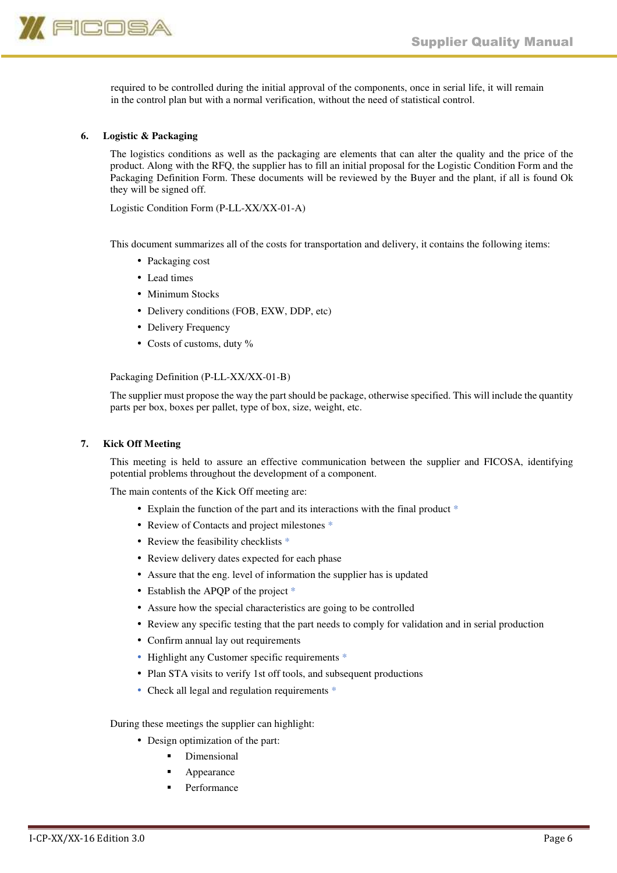

required to be controlled during the initial approval of the components, once in serial life, it will remain in the control plan but with a normal verification, without the need of statistical control.

#### **6. Logistic & Packaging**

The logistics conditions as well as the packaging are elements that can alter the quality and the price of the product. Along with the RFQ, the supplier has to fill an initial proposal for the Logistic Condition Form and the Packaging Definition Form. These documents will be reviewed by the Buyer and the plant, if all is found Ok they will be signed off.

Logistic Condition Form (P-LL-XX/XX-01-A)

This document summarizes all of the costs for transportation and delivery, it contains the following items:

- Packaging cost
- Lead times
- Minimum Stocks
- Delivery conditions (FOB, EXW, DDP, etc)
- Delivery Frequency
- Costs of customs, duty %

Packaging Definition (P-LL-XX/XX-01-B)

The supplier must propose the way the part should be package, otherwise specified. This will include the quantity parts per box, boxes per pallet, type of box, size, weight, etc.

#### **7. Kick Off Meeting**

This meeting is held to assure an effective communication between the supplier and FICOSA, identifying potential problems throughout the development of a component.

The main contents of the Kick Off meeting are:

- Explain the function of the part and its interactions with the final product  $*$
- Review of Contacts and project milestones  $*$
- Review the feasibility checklists \*
- Review delivery dates expected for each phase
- Assure that the eng. level of information the supplier has is updated
- Establish the APQP of the project  $*$
- Assure how the special characteristics are going to be controlled
- Review any specific testing that the part needs to comply for validation and in serial production
- Confirm annual lay out requirements
- Highlight any Customer specific requirements  $*$
- Plan STA visits to verify 1st off tools, and subsequent productions
- Check all legal and regulation requirements  $*$

During these meetings the supplier can highlight:

- Design optimization of the part:
	- Dimensional
	- Appearance
	- Performance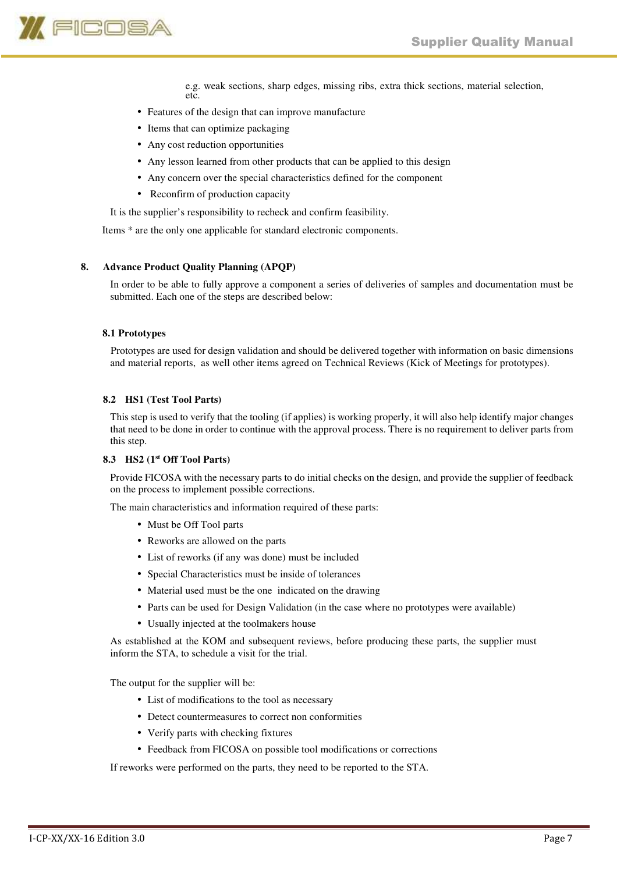

e.g. weak sections, sharp edges, missing ribs, extra thick sections, material selection, etc.

- Features of the design that can improve manufacture
- Items that can optimize packaging
- Any cost reduction opportunities
- Any lesson learned from other products that can be applied to this design
- Any concern over the special characteristics defined for the component
- Reconfirm of production capacity

It is the supplier's responsibility to recheck and confirm feasibility.

Items \* are the only one applicable for standard electronic components.

#### **8. Advance Product Quality Planning (APQP)**

In order to be able to fully approve a component a series of deliveries of samples and documentation must be submitted. Each one of the steps are described below:

#### **8.1 Prototypes**

Prototypes are used for design validation and should be delivered together with information on basic dimensions and material reports, as well other items agreed on Technical Reviews (Kick of Meetings for prototypes).

#### **8.2 HS1 (Test Tool Parts)**

This step is used to verify that the tooling (if applies) is working properly, it will also help identify major changes that need to be done in order to continue with the approval process. There is no requirement to deliver parts from this step.

# **8.3 HS2 (1st Off Tool Parts)**

Provide FICOSA with the necessary parts to do initial checks on the design, and provide the supplier of feedback on the process to implement possible corrections.

The main characteristics and information required of these parts:

- Must be Off Tool parts
- Reworks are allowed on the parts
- List of reworks (if any was done) must be included
- Special Characteristics must be inside of tolerances
- Material used must be the one indicated on the drawing
- Parts can be used for Design Validation (in the case where no prototypes were available)
- Usually injected at the toolmakers house

As established at the KOM and subsequent reviews, before producing these parts, the supplier must inform the STA, to schedule a visit for the trial.

The output for the supplier will be:

- List of modifications to the tool as necessary
- Detect countermeasures to correct non conformities
- Verify parts with checking fixtures
- Feedback from FICOSA on possible tool modifications or corrections

If reworks were performed on the parts, they need to be reported to the STA.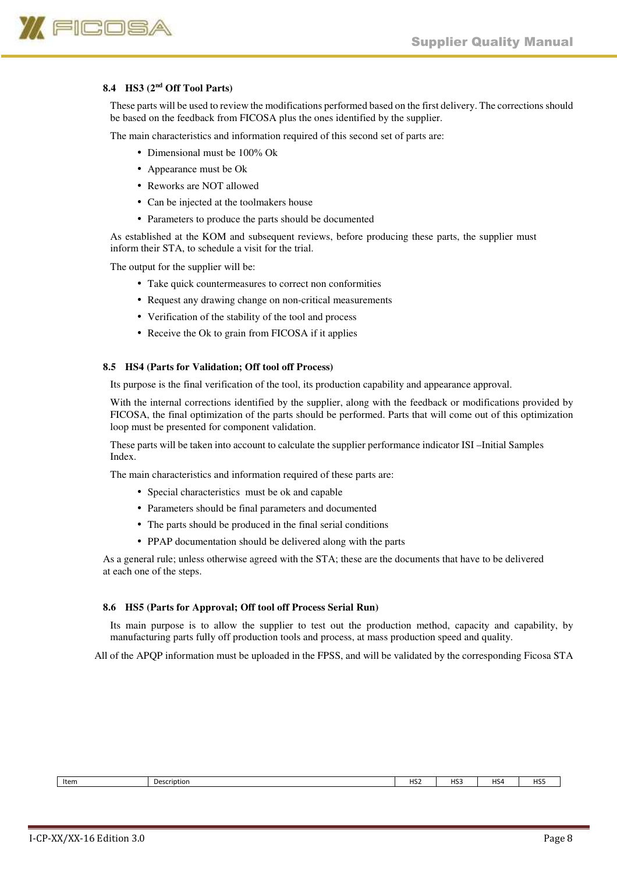

# **8.4 HS3 (2nd Off Tool Parts)**

These parts will be used to review the modifications performed based on the first delivery. The corrections should be based on the feedback from FICOSA plus the ones identified by the supplier.

The main characteristics and information required of this second set of parts are:

- Dimensional must be 100% Ok
- Appearance must be Ok
- Reworks are NOT allowed
- Can be injected at the toolmakers house
- Parameters to produce the parts should be documented

As established at the KOM and subsequent reviews, before producing these parts, the supplier must inform their STA, to schedule a visit for the trial.

The output for the supplier will be:

- Take quick countermeasures to correct non conformities
- Request any drawing change on non-critical measurements
- Verification of the stability of the tool and process
- Receive the Ok to grain from FICOSA if it applies

#### **8.5 HS4 (Parts for Validation; Off tool off Process)**

Its purpose is the final verification of the tool, its production capability and appearance approval.

With the internal corrections identified by the supplier, along with the feedback or modifications provided by FICOSA, the final optimization of the parts should be performed. Parts that will come out of this optimization loop must be presented for component validation.

These parts will be taken into account to calculate the supplier performance indicator ISI –Initial Samples Index.

The main characteristics and information required of these parts are:

- Special characteristics must be ok and capable
- Parameters should be final parameters and documented
- The parts should be produced in the final serial conditions
- PPAP documentation should be delivered along with the parts

As a general rule; unless otherwise agreed with the STA; these are the documents that have to be delivered at each one of the steps.

#### **8.6 HS5 (Parts for Approval; Off tool off Process Serial Run)**

Its main purpose is to allow the supplier to test out the production method, capacity and capability, by manufacturing parts fully off production tools and process, at mass production speed and quality.

All of the APQP information must be uploaded in the FPSS, and will be validated by the corresponding Ficosa STA

Item Description HS2 HS3 HS4 HS5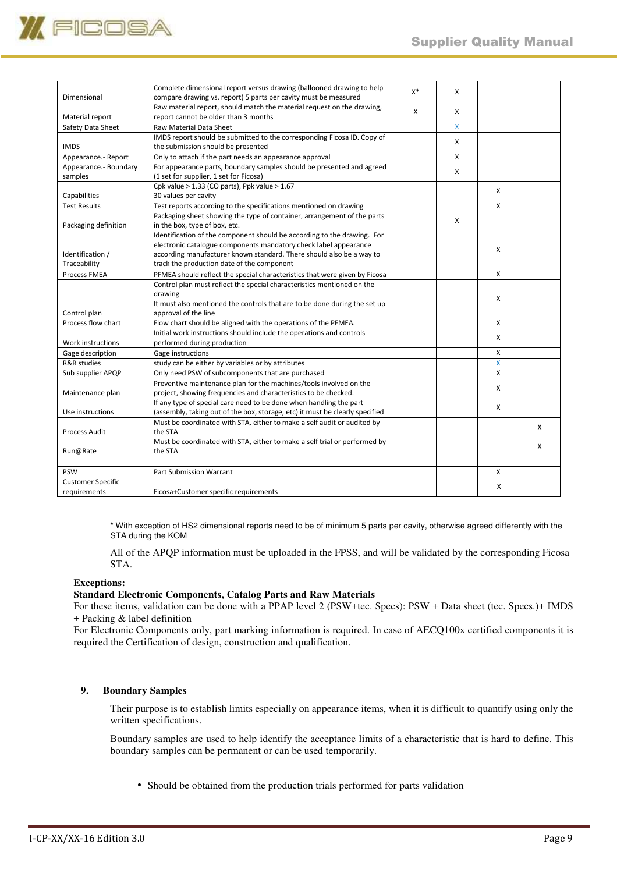

| Dimensional              | Complete dimensional report versus drawing (ballooned drawing to help                                          | $X^*$ | X            |   |   |
|--------------------------|----------------------------------------------------------------------------------------------------------------|-------|--------------|---|---|
|                          | compare drawing vs. report) 5 parts per cavity must be measured                                                |       |              |   |   |
| Material report          | Raw material report, should match the material request on the drawing,<br>report cannot be older than 3 months | X     | X            |   |   |
| Safety Data Sheet        | <b>Raw Material Data Sheet</b>                                                                                 |       | $\mathsf{X}$ |   |   |
|                          | IMDS report should be submitted to the corresponding Ficosa ID. Copy of                                        |       |              |   |   |
| <b>IMDS</b>              | the submission should be presented                                                                             |       | X            |   |   |
| Appearance.- Report      | Only to attach if the part needs an appearance approval                                                        |       | X            |   |   |
| Appearance.- Boundary    | For appearance parts, boundary samples should be presented and agreed                                          |       |              |   |   |
| samples                  | (1 set for supplier, 1 set for Ficosa)                                                                         |       | X            |   |   |
|                          | Cpk value $> 1.33$ (CO parts), Ppk value $> 1.67$                                                              |       |              | X |   |
| Capabilities             | 30 values per cavity                                                                                           |       |              |   |   |
| <b>Test Results</b>      | Test reports according to the specifications mentioned on drawing                                              |       |              | x |   |
|                          | Packaging sheet showing the type of container, arrangement of the parts                                        |       |              |   |   |
| Packaging definition     | in the box, type of box, etc.                                                                                  |       | X            |   |   |
|                          | Identification of the component should be according to the drawing. For                                        |       |              |   |   |
|                          | electronic catalogue components mandatory check label appearance                                               |       |              |   |   |
| Identification /         | according manufacturer known standard. There should also be a way to                                           |       |              | X |   |
| Traceability             | track the production date of the component                                                                     |       |              |   |   |
| <b>Process FMEA</b>      | PFMEA should reflect the special characteristics that were given by Ficosa                                     |       |              | X |   |
|                          | Control plan must reflect the special characteristics mentioned on the                                         |       |              |   |   |
|                          | drawing                                                                                                        |       |              |   |   |
|                          | It must also mentioned the controls that are to be done during the set up                                      |       |              | X |   |
| Control plan             | approval of the line                                                                                           |       |              |   |   |
| Process flow chart       | Flow chart should be aligned with the operations of the PFMEA.                                                 |       |              | X |   |
|                          | Initial work instructions should include the operations and controls                                           |       |              |   |   |
| Work instructions        | performed during production                                                                                    |       |              | X |   |
| Gage description         | Gage instructions                                                                                              |       |              | X |   |
| R&R studies              | study can be either by variables or by attributes                                                              |       |              | X |   |
| Sub supplier APQP        | Only need PSW of subcomponents that are purchased                                                              |       |              | X |   |
|                          | Preventive maintenance plan for the machines/tools involved on the                                             |       |              |   |   |
| Maintenance plan         | project, showing frequencies and characteristics to be checked.                                                |       |              | X |   |
|                          | If any type of special care need to be done when handling the part                                             |       |              |   |   |
| Use instructions         | (assembly, taking out of the box, storage, etc) it must be clearly specified                                   |       |              | x |   |
|                          | Must be coordinated with STA, either to make a self audit or audited by                                        |       |              |   |   |
| <b>Process Audit</b>     | the STA                                                                                                        |       |              |   | X |
|                          | Must be coordinated with STA, either to make a self trial or performed by                                      |       |              |   |   |
| Run@Rate                 | the STA                                                                                                        |       |              |   | X |
|                          |                                                                                                                |       |              |   |   |
| <b>PSW</b>               | <b>Part Submission Warrant</b>                                                                                 |       |              | X |   |
| <b>Customer Specific</b> |                                                                                                                |       |              |   |   |
| requirements             | Ficosa+Customer specific requirements                                                                          |       |              | Х |   |

\* With exception of HS2 dimensional reports need to be of minimum 5 parts per cavity, otherwise agreed differently with the STA during the KOM

All of the APQP information must be uploaded in the FPSS, and will be validated by the corresponding Ficosa STA.

# **Exceptions:**

#### **Standard Electronic Components, Catalog Parts and Raw Materials**

For these items, validation can be done with a PPAP level 2 (PSW+tec. Specs): PSW + Data sheet (tec. Specs.)+ IMDS + Packing & label definition

For Electronic Components only, part marking information is required. In case of AECQ100x certified components it is required the Certification of design, construction and qualification.

# **9. Boundary Samples**

Their purpose is to establish limits especially on appearance items, when it is difficult to quantify using only the written specifications.

Boundary samples are used to help identify the acceptance limits of a characteristic that is hard to define. This boundary samples can be permanent or can be used temporarily.

• Should be obtained from the production trials performed for parts validation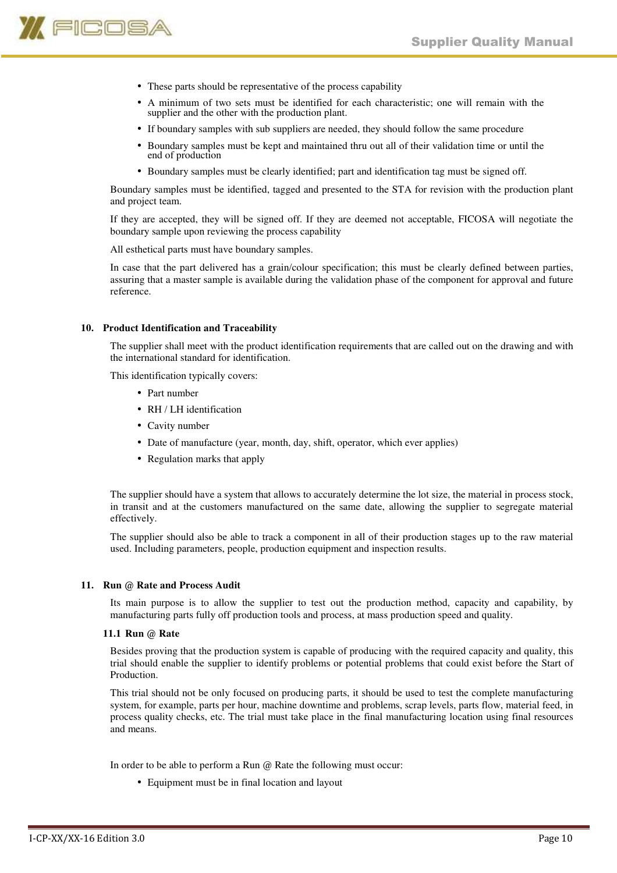

- These parts should be representative of the process capability
- A minimum of two sets must be identified for each characteristic; one will remain with the supplier and the other with the production plant.
- If boundary samples with sub suppliers are needed, they should follow the same procedure
- Boundary samples must be kept and maintained thru out all of their validation time or until the end of production
- Boundary samples must be clearly identified; part and identification tag must be signed off.

Boundary samples must be identified, tagged and presented to the STA for revision with the production plant and project team.

If they are accepted, they will be signed off. If they are deemed not acceptable, FICOSA will negotiate the boundary sample upon reviewing the process capability

All esthetical parts must have boundary samples.

In case that the part delivered has a grain/colour specification; this must be clearly defined between parties, assuring that a master sample is available during the validation phase of the component for approval and future reference.

#### **10. Product Identification and Traceability**

The supplier shall meet with the product identification requirements that are called out on the drawing and with the international standard for identification.

This identification typically covers:

- Part number
- RH / LH identification
- Cavity number
- Date of manufacture (year, month, day, shift, operator, which ever applies)
- Regulation marks that apply

The supplier should have a system that allows to accurately determine the lot size, the material in process stock, in transit and at the customers manufactured on the same date, allowing the supplier to segregate material effectively.

The supplier should also be able to track a component in all of their production stages up to the raw material used. Including parameters, people, production equipment and inspection results.

#### **11. Run @ Rate and Process Audit**

Its main purpose is to allow the supplier to test out the production method, capacity and capability, by manufacturing parts fully off production tools and process, at mass production speed and quality.

#### **11.1 Run @ Rate**

Besides proving that the production system is capable of producing with the required capacity and quality, this trial should enable the supplier to identify problems or potential problems that could exist before the Start of Production.

This trial should not be only focused on producing parts, it should be used to test the complete manufacturing system, for example, parts per hour, machine downtime and problems, scrap levels, parts flow, material feed, in process quality checks, etc. The trial must take place in the final manufacturing location using final resources and means.

In order to be able to perform a Run @ Rate the following must occur:

• Equipment must be in final location and layout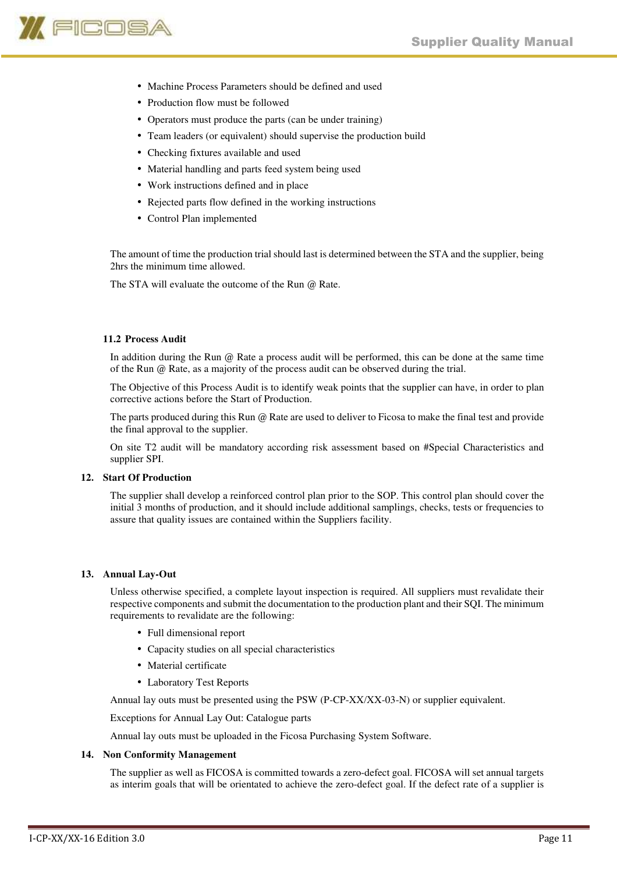

- Machine Process Parameters should be defined and used
- Production flow must be followed
- Operators must produce the parts (can be under training)
- Team leaders (or equivalent) should supervise the production build
- Checking fixtures available and used
- Material handling and parts feed system being used
- Work instructions defined and in place
- Rejected parts flow defined in the working instructions
- Control Plan implemented

The amount of time the production trial should last is determined between the STA and the supplier, being 2hrs the minimum time allowed.

The STA will evaluate the outcome of the Run @ Rate.

# **11.2 Process Audit**

In addition during the Run @ Rate a process audit will be performed, this can be done at the same time of the Run @ Rate, as a majority of the process audit can be observed during the trial.

The Objective of this Process Audit is to identify weak points that the supplier can have, in order to plan corrective actions before the Start of Production.

The parts produced during this Run @ Rate are used to deliver to Ficosa to make the final test and provide the final approval to the supplier.

On site T2 audit will be mandatory according risk assessment based on #Special Characteristics and supplier SPI.

# **12. Start Of Production**

The supplier shall develop a reinforced control plan prior to the SOP. This control plan should cover the initial 3 months of production, and it should include additional samplings, checks, tests or frequencies to assure that quality issues are contained within the Suppliers facility.

# **13. Annual Lay-Out**

Unless otherwise specified, a complete layout inspection is required. All suppliers must revalidate their respective components and submit the documentation to the production plant and their SQI. The minimum requirements to revalidate are the following:

- Full dimensional report
- Capacity studies on all special characteristics
- Material certificate
- Laboratory Test Reports

Annual lay outs must be presented using the PSW (P-CP-XX/XX-03-N) or supplier equivalent.

Exceptions for Annual Lay Out: Catalogue parts

Annual lay outs must be uploaded in the Ficosa Purchasing System Software.

# **14. Non Conformity Management**

The supplier as well as FICOSA is committed towards a zero-defect goal. FICOSA will set annual targets as interim goals that will be orientated to achieve the zero-defect goal. If the defect rate of a supplier is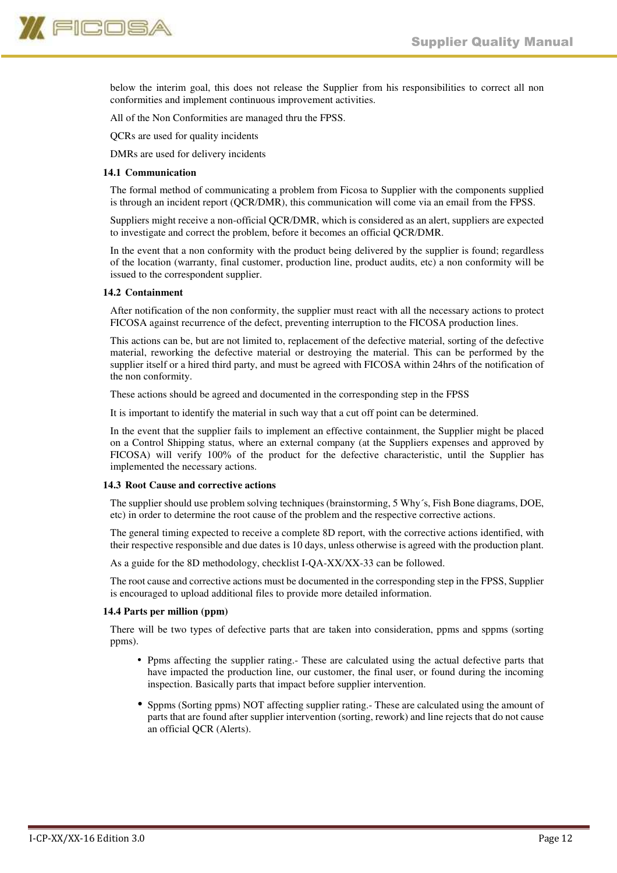

below the interim goal, this does not release the Supplier from his responsibilities to correct all non conformities and implement continuous improvement activities.

All of the Non Conformities are managed thru the FPSS.

QCRs are used for quality incidents

DMRs are used for delivery incidents

#### **14.1 Communication**

The formal method of communicating a problem from Ficosa to Supplier with the components supplied is through an incident report (QCR/DMR), this communication will come via an email from the FPSS.

Suppliers might receive a non-official QCR/DMR, which is considered as an alert, suppliers are expected to investigate and correct the problem, before it becomes an official QCR/DMR.

In the event that a non conformity with the product being delivered by the supplier is found; regardless of the location (warranty, final customer, production line, product audits, etc) a non conformity will be issued to the correspondent supplier.

#### **14.2 Containment**

After notification of the non conformity, the supplier must react with all the necessary actions to protect FICOSA against recurrence of the defect, preventing interruption to the FICOSA production lines.

This actions can be, but are not limited to, replacement of the defective material, sorting of the defective material, reworking the defective material or destroying the material. This can be performed by the supplier itself or a hired third party, and must be agreed with FICOSA within 24hrs of the notification of the non conformity.

These actions should be agreed and documented in the corresponding step in the FPSS

It is important to identify the material in such way that a cut off point can be determined.

In the event that the supplier fails to implement an effective containment, the Supplier might be placed on a Control Shipping status, where an external company (at the Suppliers expenses and approved by FICOSA) will verify 100% of the product for the defective characteristic, until the Supplier has implemented the necessary actions.

#### **14.3 Root Cause and corrective actions**

The supplier should use problem solving techniques (brainstorming, 5 Why´s, Fish Bone diagrams, DOE, etc) in order to determine the root cause of the problem and the respective corrective actions.

The general timing expected to receive a complete 8D report, with the corrective actions identified, with their respective responsible and due dates is 10 days, unless otherwise is agreed with the production plant.

As a guide for the 8D methodology, checklist I-QA-XX/XX-33 can be followed.

The root cause and corrective actions must be documented in the corresponding step in the FPSS, Supplier is encouraged to upload additional files to provide more detailed information.

#### **14.4 Parts per million (ppm)**

There will be two types of defective parts that are taken into consideration, ppms and sppms (sorting ppms).

- Ppms affecting the supplier rating.- These are calculated using the actual defective parts that have impacted the production line, our customer, the final user, or found during the incoming inspection. Basically parts that impact before supplier intervention.
- Sppms (Sorting ppms) NOT affecting supplier rating.- These are calculated using the amount of parts that are found after supplier intervention (sorting, rework) and line rejects that do not cause an official QCR (Alerts).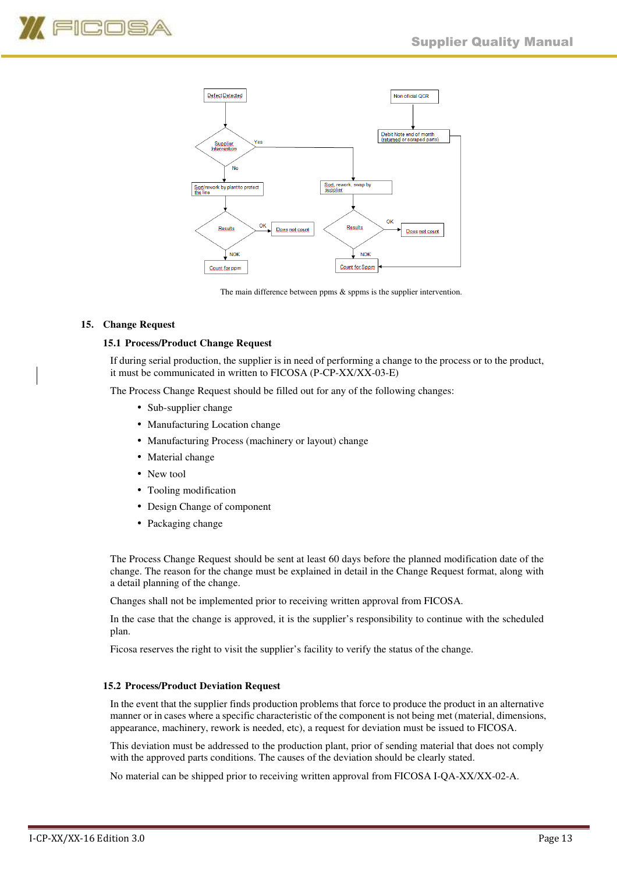



The main difference between ppms  $\&$  sppms is the supplier intervention.

# **15. Change Request**

#### **15.1 Process/Product Change Request**

If during serial production, the supplier is in need of performing a change to the process or to the product, it must be communicated in written to FICOSA (P-CP-XX/XX-03-E)

The Process Change Request should be filled out for any of the following changes:

- Sub-supplier change
- Manufacturing Location change
- Manufacturing Process (machinery or layout) change
- Material change
- New tool
- Tooling modification
- Design Change of component
- Packaging change

The Process Change Request should be sent at least 60 days before the planned modification date of the change. The reason for the change must be explained in detail in the Change Request format, along with a detail planning of the change.

Changes shall not be implemented prior to receiving written approval from FICOSA.

In the case that the change is approved, it is the supplier's responsibility to continue with the scheduled plan.

Ficosa reserves the right to visit the supplier's facility to verify the status of the change.

#### **15.2 Process/Product Deviation Request**

In the event that the supplier finds production problems that force to produce the product in an alternative manner or in cases where a specific characteristic of the component is not being met (material, dimensions, appearance, machinery, rework is needed, etc), a request for deviation must be issued to FICOSA.

This deviation must be addressed to the production plant, prior of sending material that does not comply with the approved parts conditions. The causes of the deviation should be clearly stated.

No material can be shipped prior to receiving written approval from FICOSA I-QA-XX/XX-02-A.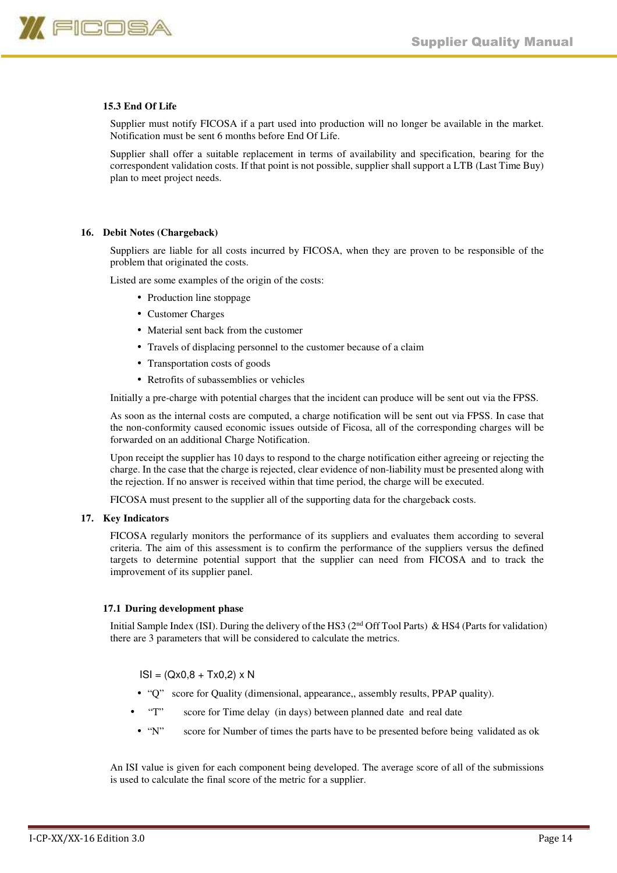

# **15.3 End Of Life**

Supplier must notify FICOSA if a part used into production will no longer be available in the market. Notification must be sent 6 months before End Of Life.

Supplier shall offer a suitable replacement in terms of availability and specification, bearing for the correspondent validation costs. If that point is not possible, supplier shall support a LTB (Last Time Buy) plan to meet project needs.

#### **16. Debit Notes (Chargeback)**

Suppliers are liable for all costs incurred by FICOSA, when they are proven to be responsible of the problem that originated the costs.

Listed are some examples of the origin of the costs:

- Production line stoppage
- Customer Charges
- Material sent back from the customer
- Travels of displacing personnel to the customer because of a claim
- Transportation costs of goods
- Retrofits of subassemblies or vehicles

Initially a pre-charge with potential charges that the incident can produce will be sent out via the FPSS.

As soon as the internal costs are computed, a charge notification will be sent out via FPSS. In case that the non-conformity caused economic issues outside of Ficosa, all of the corresponding charges will be forwarded on an additional Charge Notification.

Upon receipt the supplier has 10 days to respond to the charge notification either agreeing or rejecting the charge. In the case that the charge is rejected, clear evidence of non-liability must be presented along with the rejection. If no answer is received within that time period, the charge will be executed.

FICOSA must present to the supplier all of the supporting data for the chargeback costs.

#### **17. Key Indicators**

FICOSA regularly monitors the performance of its suppliers and evaluates them according to several criteria. The aim of this assessment is to confirm the performance of the suppliers versus the defined targets to determine potential support that the supplier can need from FICOSA and to track the improvement of its supplier panel.

#### **17.1 During development phase**

Initial Sample Index (ISI). During the delivery of the HS3 (2<sup>nd</sup> Off Tool Parts) & HS4 (Parts for validation) there are 3 parameters that will be considered to calculate the metrics.

 $ISI = (Qx0.8 + Tx0.2) \times N$ 

- "Q" score for Quality (dimensional, appearance,, assembly results, PPAP quality).
- "T" score for Time delay (in days) between planned date and real date
- "N" score for Number of times the parts have to be presented before being validated as ok

An ISI value is given for each component being developed. The average score of all of the submissions is used to calculate the final score of the metric for a supplier.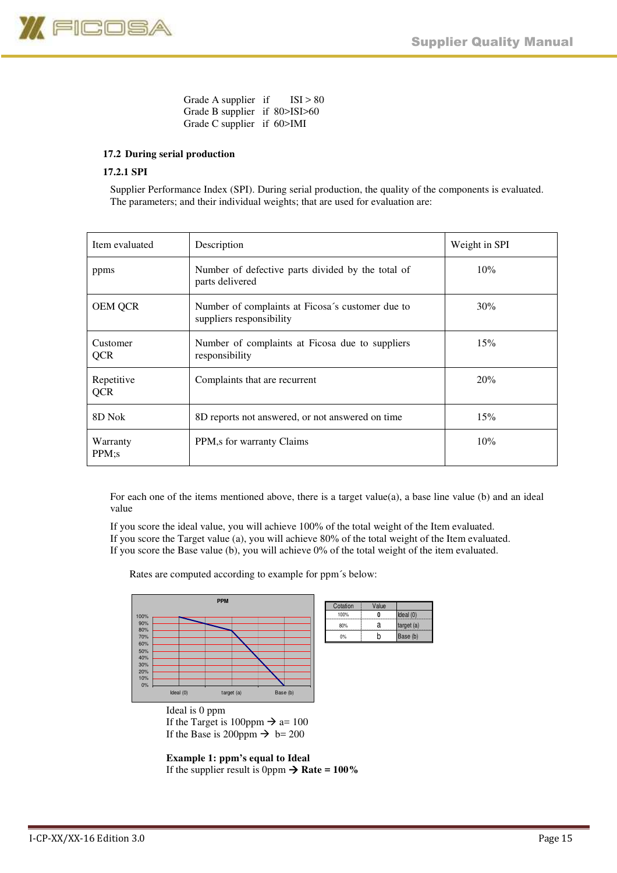

Grade A supplier if  $ISI > 80$ Grade B supplier if 80>ISI>60 Grade C supplier if 60>IMI

# **17.2 During serial production**

# **17.2.1 SPI**

Supplier Performance Index (SPI). During serial production, the quality of the components is evaluated. The parameters; and their individual weights; that are used for evaluation are:

| Item evaluated           | Description                                                                  | Weight in SPI |
|--------------------------|------------------------------------------------------------------------------|---------------|
| ppms                     | Number of defective parts divided by the total of<br>parts delivered         | 10%           |
| <b>OEM QCR</b>           | Number of complaints at Ficosa's customer due to<br>suppliers responsibility | 30%           |
| Customer<br>QCR          | Number of complaints at Ficosa due to suppliers<br>responsibility            | 15%           |
| Repetitive<br><b>QCR</b> | Complaints that are recurrent                                                | 20%           |
| 8D Nok                   | 8D reports not answered, or not answered on time                             | 15%           |
| Warranty<br>PPM;s        | PPM, s for warranty Claims                                                   | 10%           |

For each one of the items mentioned above, there is a target value $(a)$ , a base line value  $(b)$  and an ideal value

 If you score the ideal value, you will achieve 100% of the total weight of the Item evaluated. If you score the Target value (a), you will achieve 80% of the total weight of the Item evaluated. If you score the Base value (b), you will achieve 0% of the total weight of the item evaluated.

Rates are computed according to example for ppm´s below:



Ideal is 0 ppm If the Target is 100ppm  $\rightarrow$  a= 100 If the Base is 200ppm  $\rightarrow$  b= 200

**Example 1: ppm's equal to Ideal**  If the supplier result is 0ppm  $\rightarrow$  Rate = 100%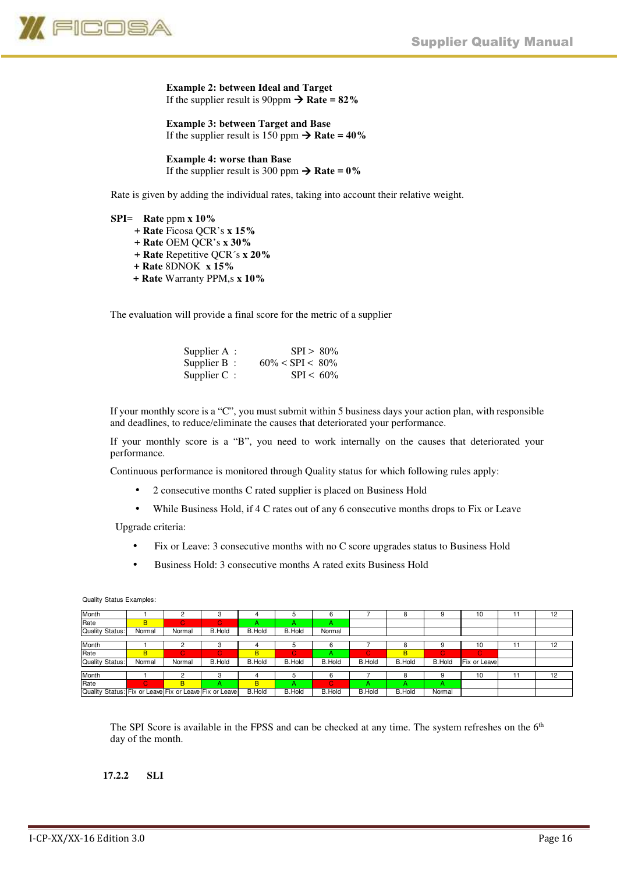

**Example 2: between Ideal and Target**  If the supplier result is 90ppm  $\rightarrow$  Rate =  $82\%$ 

**Example 3: between Target and Base**  If the supplier result is  $150$  ppm  $\rightarrow$  **Rate = 40%** 

**Example 4: worse than Base**  If the supplier result is 300 ppm  $\rightarrow$  **Rate = 0%** 

Rate is given by adding the individual rates, taking into account their relative weight.

**SPI**= **Rate** ppm **x 10% + Rate** Ficosa QCR's **x 15% + Rate** OEM QCR's **x 30% + Rate** Repetitive QCR´s **x 20% + Rate** 8DNOK **x 15% + Rate** Warranty PPM,s **x 10%** 

The evaluation will provide a final score for the metric of a supplier

| Supplier $A$ : | $SPI > 80\%$        |
|----------------|---------------------|
| Supplier $B$ : | $60\% < SPI < 80\%$ |
| Supplier $C$ : | $SPI < 60\%$        |

If your monthly score is a "C", you must submit within 5 business days your action plan, with responsible and deadlines, to reduce/eliminate the causes that deteriorated your performance.

If your monthly score is a "B", you need to work internally on the causes that deteriorated your performance.

Continuous performance is monitored through Quality status for which following rules apply:

- 2 consecutive months C rated supplier is placed on Business Hold
- While Business Hold, if 4 C rates out of any 6 consecutive months drops to Fix or Leave

Upgrade criteria:

- Fix or Leave: 3 consecutive months with no C score upgrades status to Business Hold
- Business Hold: 3 consecutive months A rated exits Business Hold

| Month                                                  |        |        |               |               | b             |               |               | 8             |               | 10           |    | 12 |
|--------------------------------------------------------|--------|--------|---------------|---------------|---------------|---------------|---------------|---------------|---------------|--------------|----|----|
| Rate                                                   | B      | C.     | C.            |               |               |               |               |               |               |              |    |    |
| Quality Status:                                        | Normal | Normal | <b>B.Hold</b> | <b>B.Hold</b> | <b>B.Hold</b> | Normal        |               |               |               |              |    |    |
|                                                        |        |        |               |               |               |               |               |               |               |              |    |    |
| Month                                                  |        |        |               |               | ь             |               |               | 8             |               | 10           | 11 | 12 |
| Rate                                                   | B      | Ю.     | C.            | B             | $\mathbf C$   |               |               | B             | Ċ.            | $\mathbf C$  |    |    |
| Quality Status:                                        | Normal | Normal | <b>B.Hold</b> | <b>B.Hold</b> | <b>B.Hold</b> | <b>B.Hold</b> | <b>B.Hold</b> | B.Hold        | <b>B.Hold</b> | Fix or Leave |    |    |
|                                                        |        |        |               |               |               |               |               |               |               |              |    |    |
| Month                                                  |        |        |               |               | .5            |               |               | 8             |               | 10           | 11 | 12 |
| Rate                                                   | C.     | B      |               | B             |               | Ю             | А             |               |               |              |    |    |
| Quality Status: Fix or Leave Fix or Leave Fix or Leave |        |        |               | B.Hold        | <b>B.Hold</b> | <b>B.Hold</b> | B.Hold        | <b>B.Hold</b> | Normal        |              |    |    |

Quality Status Examples:

The SPI Score is available in the FPSS and can be checked at any time. The system refreshes on the 6<sup>th</sup> day of the month.

#### **17.2.2 SLI**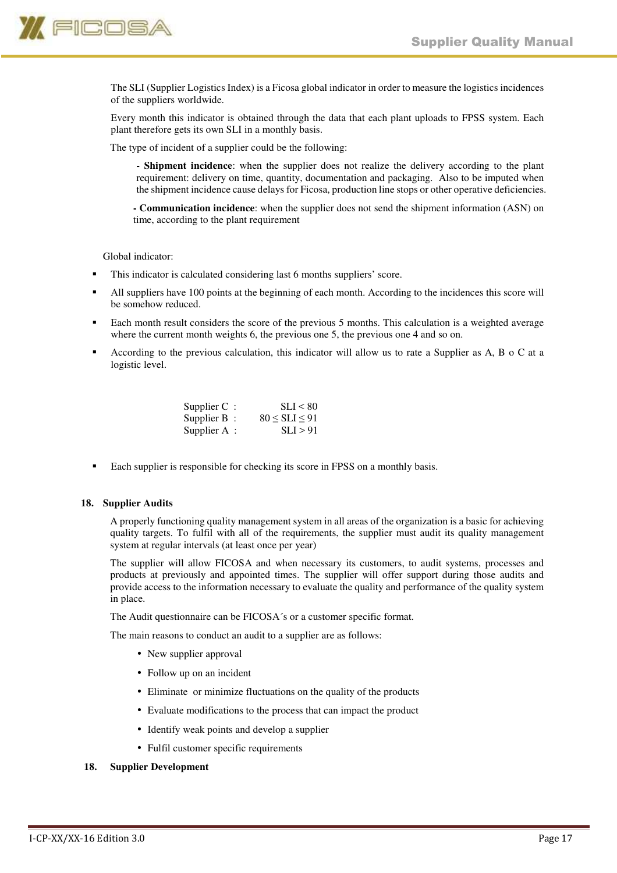

The SLI (Supplier Logistics Index) is a Ficosa global indicator in order to measure the logistics incidences of the suppliers worldwide.

Every month this indicator is obtained through the data that each plant uploads to FPSS system. Each plant therefore gets its own SLI in a monthly basis.

The type of incident of a supplier could be the following:

- **Shipment incidence**: when the supplier does not realize the delivery according to the plant requirement: delivery on time, quantity, documentation and packaging. Also to be imputed when the shipment incidence cause delays for Ficosa, production line stops or other operative deficiencies.
- **Communication incidence**: when the supplier does not send the shipment information (ASN) on time, according to the plant requirement

Global indicator:

- This indicator is calculated considering last 6 months suppliers' score.
- All suppliers have 100 points at the beginning of each month. According to the incidences this score will be somehow reduced.
- Each month result considers the score of the previous 5 months. This calculation is a weighted average where the current month weights 6, the previous one 5, the previous one 4 and so on.
- According to the previous calculation, this indicator will allow us to rate a Supplier as A, B o C at a logistic level.

| Supplier $C$ : | SLI < 80              |
|----------------|-----------------------|
| Supplier B:    | $80 \leq SLI \leq 91$ |
| Supplier $A$ : | SLI > 91              |

Each supplier is responsible for checking its score in FPSS on a monthly basis.

# **18. Supplier Audits**

A properly functioning quality management system in all areas of the organization is a basic for achieving quality targets. To fulfil with all of the requirements, the supplier must audit its quality management system at regular intervals (at least once per year)

The supplier will allow FICOSA and when necessary its customers, to audit systems, processes and products at previously and appointed times. The supplier will offer support during those audits and provide access to the information necessary to evaluate the quality and performance of the quality system in place.

The Audit questionnaire can be FICOSA´s or a customer specific format.

The main reasons to conduct an audit to a supplier are as follows:

- New supplier approval
- Follow up on an incident
- Eliminate or minimize fluctuations on the quality of the products
- Evaluate modifications to the process that can impact the product
- Identify weak points and develop a supplier
- Fulfil customer specific requirements

# **18. Supplier Development**